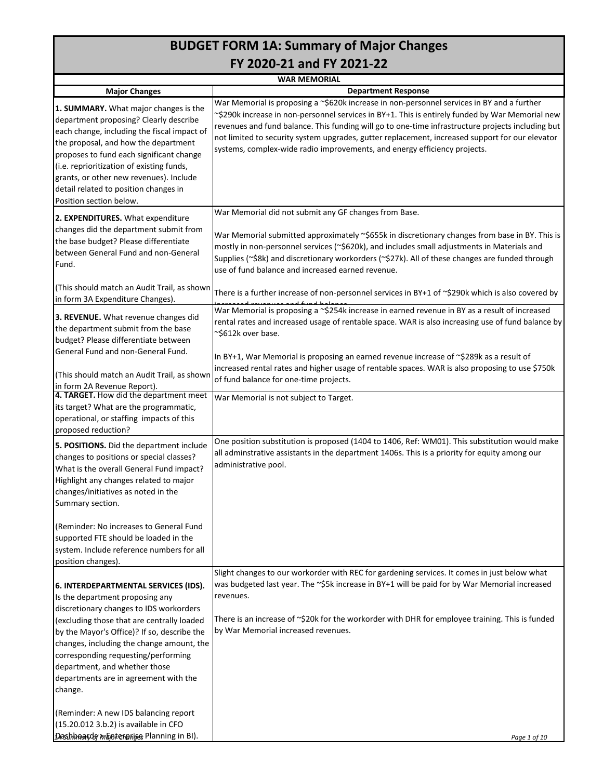# **BUDGET FORM 1A: Summary of Major Changes FY 2020-21 and FY 2021-22**

**Major Changes 1. SUMMARY.** What major changes is the department proposing? Clearly describe each change, including the fiscal impact of the proposal, and how the department proposes to fund each significant change (i.e. reprioritization of existing funds, grants, or other new revenues). Include detail related to position changes in Position section below. **2. EXPENDITURES.** What expenditure changes did the department submit from the base budget? Please differentiate between General Fund and non-General Fund. (This should match an Audit Trail, as shown in form 3A Expenditure Changes). **3. REVENUE.** What revenue changes did the department submit from the base budget? Please differentiate between General Fund and non-General Fund. (This should match an Audit Trail, as shown in form 2A Revenue Report). **4. TARGET.** How did the department meet its target? What are the programmatic, operational, or staffing impacts of this proposed reduction? **5. POSITIONS.** Did the department include changes to positions or special classes? What is the overall General Fund impact? Highlight any changes related to major changes/initiatives as noted in the Summary section. (Reminder: No increases to General Fund supported FTE should be loaded in the system. Include reference numbers for all position changes). **6. INTERDEPARTMENTAL SERVICES (IDS).** Is the department proposing any discretionary changes to IDS workorders (excluding those that are centrally loaded by the Mayor's Office)? If so, describe the changes, including the change amount, the corresponding requesting/performing department, and whether those departments are in agreement with the change. (Reminder: A new IDS balancing report (15.20.012 3.b.2) is available in CFO increased reversions and fund balance.<br>War Memorial is proposing a ~\$254k increase in earned revenue in BY as a result of increased rental rates and increased usage of rentable space. WAR is also increasing use of fund balance by ~\$612k over base. In BY+1, War Memorial is proposing an earned revenue increase of ~\$289k as a result of increased rental rates and higher usage of rentable spaces. WAR is also proposing to use \$750k of fund balance for one-time projects. War Memorial is not subject to Target. One position substitution is proposed (1404 to 1406, Ref: WM01). This substitution would make all adminstrative assistants in the department 1406s. This is a priority for equity among our administrative pool. Slight changes to our workorder with REC for gardening services. It comes in just below what was budgeted last year. The ~\$5k increase in BY+1 will be paid for by War Memorial increased revenues. There is an increase of  $\sim$ \$20k for the workorder with DHR for employee training. This is funded by War Memorial increased revenues. **WAR MEMORIAL Department Response** War Memorial is proposing a ~\$620k increase in non-personnel services in BY and a further ~\$290k increase in non-personnel services in BY+1. This is entirely funded by War Memorial new revenues and fund balance. This funding will go to one-time infrastructure projects including but not limited to security system upgrades, gutter replacement, increased support for our elevator systems, complex-wide radio improvements, and energy efficiency projects. War Memorial did not submit any GF changes from Base. War Memorial submitted approximately ~\$655k in discretionary changes from base in BY. This is mostly in non-personnel services (~\$620k), and includes small adjustments in Materials and Supplies (~\$8k) and discretionary workorders (~\$27k). All of these changes are funded through use of fund balance and increased earned revenue. There is a further increase of non-personnel services in BY+1 of ~\$290k which is also covered by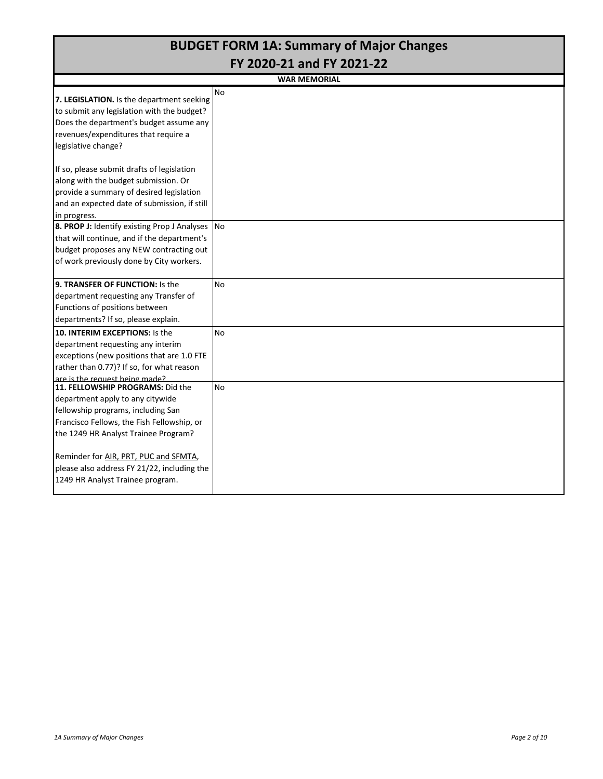|                                                                                                                                                                                                                                                                                                                              | <b>BUDGET FORM 1A: Summary of Major Changes</b> |
|------------------------------------------------------------------------------------------------------------------------------------------------------------------------------------------------------------------------------------------------------------------------------------------------------------------------------|-------------------------------------------------|
|                                                                                                                                                                                                                                                                                                                              | FY 2020-21 and FY 2021-22                       |
|                                                                                                                                                                                                                                                                                                                              | <b>WAR MEMORIAL</b>                             |
| 7. LEGISLATION. Is the department seeking<br>to submit any legislation with the budget?<br>Does the department's budget assume any<br>revenues/expenditures that require a<br>legislative change?                                                                                                                            | No                                              |
| If so, please submit drafts of legislation<br>along with the budget submission. Or<br>provide a summary of desired legislation<br>and an expected date of submission, if still<br>in progress.                                                                                                                               |                                                 |
| 8. PROP J: Identify existing Prop J Analyses<br>that will continue, and if the department's<br>budget proposes any NEW contracting out<br>of work previously done by City workers.                                                                                                                                           | <b>No</b>                                       |
| 9. TRANSFER OF FUNCTION: Is the<br>department requesting any Transfer of<br>Functions of positions between<br>departments? If so, please explain.                                                                                                                                                                            | <b>No</b>                                       |
| 10. INTERIM EXCEPTIONS: Is the<br>department requesting any interim<br>exceptions (new positions that are 1.0 FTE<br>rather than 0.77)? If so, for what reason<br>are is the request being made?                                                                                                                             | No                                              |
| 11. FELLOWSHIP PROGRAMS: Did the<br>department apply to any citywide<br>fellowship programs, including San<br>Francisco Fellows, the Fish Fellowship, or<br>the 1249 HR Analyst Trainee Program?<br>Reminder for AIR, PRT, PUC and SFMTA,<br>please also address FY 21/22, including the<br>1249 HR Analyst Trainee program. | <b>No</b>                                       |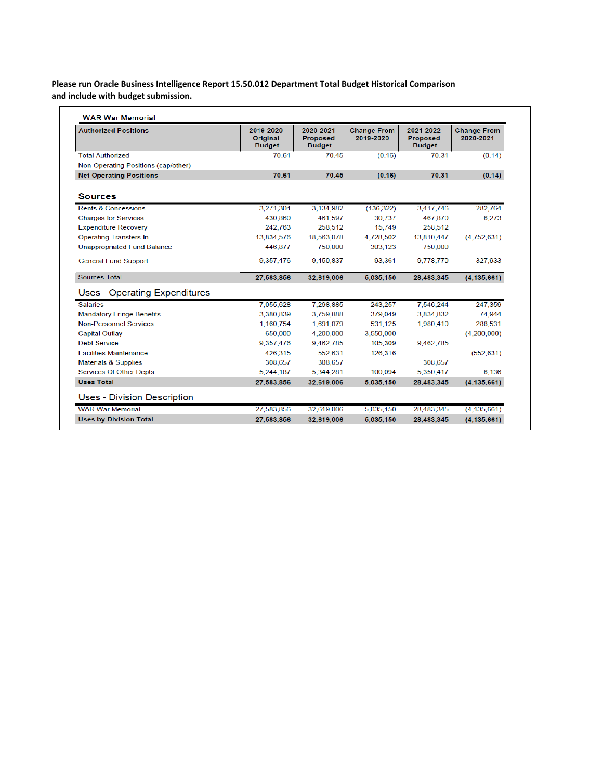## **Please run Oracle Business Intelligence Report 15.50.012 Department Total Budget Historical Comparison and include with budget submission.**

| <b>Authorized Positions</b>          | 2019-2020<br><b>Original</b><br><b>Budget</b> | 2020-2021<br><b>Proposed</b><br><b>Budget</b> | <b>Change From</b><br>2019-2020 | 2021-2022<br><b>Proposed</b><br><b>Budget</b> | <b>Change From</b><br>2020-2021 |
|--------------------------------------|-----------------------------------------------|-----------------------------------------------|---------------------------------|-----------------------------------------------|---------------------------------|
| <b>Total Authorized</b>              | 70.61                                         | 7045                                          | (0.16)                          | 70.31                                         | (0.14)                          |
| Non-Operating Positions (cap/other)  |                                               |                                               |                                 |                                               |                                 |
| <b>Net Operating Positions</b>       | 70.61                                         | 70.45                                         | (0.16)                          | 70.31                                         | (0.14)                          |
| <b>Sources</b>                       |                                               |                                               |                                 |                                               |                                 |
| Rents & Concessions                  | 3,271,304                                     | 3,134,982                                     | (136, 322)                      | 3.417.746                                     | 282.764                         |
| <b>Charges for Services</b>          | 430,860                                       | 461,597                                       | 30.737                          | 467,870                                       | 6,273                           |
| <b>Expenditure Recovery</b>          | 242.763                                       | 258,512                                       | 15,749                          | 258,512                                       |                                 |
| <b>Operating Transfers In</b>        | 13,834,576                                    | 18,563,078                                    | 4,728,502                       | 13,810,447                                    | (4,752,631)                     |
| <b>Unappropriated Fund Balance</b>   | 446,877                                       | 750,000                                       | 303,123                         | 750,000                                       |                                 |
| <b>General Fund Support</b>          | 9,357,476                                     | 9,450,837                                     | 93,361                          | 9,778,770                                     | 327,933                         |
| <b>Sources Total</b>                 | 27.583.856                                    | 32.619.006                                    | 5,035,150                       | 28.483.345                                    | (4, 135, 661)                   |
| <b>Uses - Operating Expenditures</b> |                                               |                                               |                                 |                                               |                                 |
| <b>Salaries</b>                      | 7,055,628                                     | 7,298,885                                     | 243,257                         | 7,546,244                                     | 247,359                         |
| <b>Mandatory Fringe Benefits</b>     | 3,380,839                                     | 3,759,888                                     | 379,049                         | 3,834,832                                     | 74,944                          |
| <b>Non-Personnel Services</b>        | 1,160,754                                     | 1,691,879                                     | 531,125                         | 1,980,410                                     | 288,531                         |
| <b>Capital Outlay</b>                | 650,000                                       | 4.200.000                                     | 3,550,000                       |                                               | (4,200,000)                     |
| <b>Debt Service</b>                  | 9,357,476                                     | 9,462,785                                     | 105,309                         | 9,462,785                                     |                                 |
| <b>Facilities Maintenance</b>        | 426,315                                       | 552,631                                       | 126,316                         |                                               | (552, 631)                      |
| <b>Materials &amp; Supplies</b>      | 308,657                                       | 308,657                                       |                                 | 308,657                                       |                                 |
| <b>Services Of Other Depts</b>       | 5.244.187                                     | 5.344.281                                     | 100.094                         | 5.350.417                                     | 6.136                           |
| <b>Uses Total</b>                    | 27.583.856                                    | 32.619.006                                    | 5.035.150                       | 28.483.345                                    | (4.135.661)                     |
| Uses - Division Description          |                                               |                                               |                                 |                                               |                                 |
| <b>WAR War Memorial</b>              | 27,583,856                                    | 32,619,006                                    | 5,035,150                       | 28,483,345                                    | (4, 135, 661)                   |
|                                      |                                               |                                               |                                 |                                               |                                 |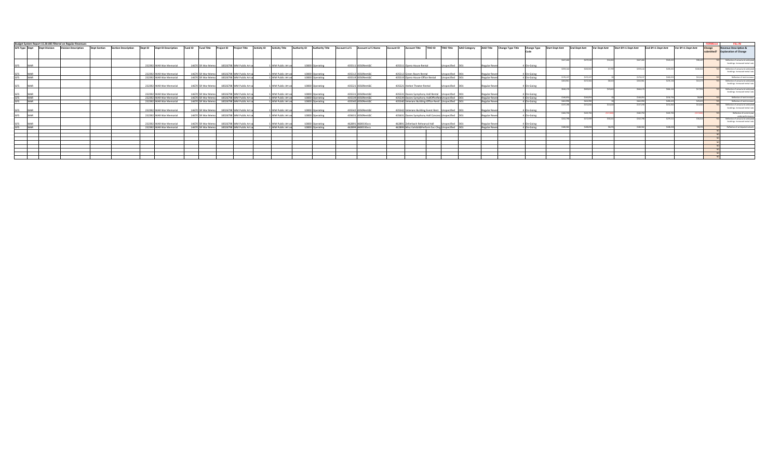|            |                                    | Budget System Report 15.30.005 filtered on Regular Revenues |                     |                            |                             |                                             |                          |             |                       |              |                        |              |                           |                                                       |                                  |                 |                     |               |                                                   |                       |                        |          |                                  |                   |                   | <b>FORMULA</b> |                                  |                                                                         |
|------------|------------------------------------|-------------------------------------------------------------|---------------------|----------------------------|-----------------------------|---------------------------------------------|--------------------------|-------------|-----------------------|--------------|------------------------|--------------|---------------------------|-------------------------------------------------------|----------------------------------|-----------------|---------------------|---------------|---------------------------------------------------|-----------------------|------------------------|----------|----------------------------------|-------------------|-------------------|----------------|----------------------------------|-------------------------------------------------------------------------|
|            | <b>GFS Type Dept Dept Division</b> | <b>Division Description</b>                                 | <b>Dept Section</b> | <b>Section Description</b> | Dept ID Dept ID Description | Fund ID Fund Title Project ID Project Title |                          | Activity ID | <b>Activity Title</b> | Authority ID | <b>Authority Title</b> | ccount Lvl 5 | <b>Account Lvl 5 Name</b> | <b>Account ID</b>                                     | Account Title TRIO ID TRIO Title |                 | <b>AAO Category</b> |               | AAO Title Change Type Title<br><b>Change Type</b> | <b>Start Dept Amt</b> | <b>End Dept Amt</b>    |          | Var Dept Amt Start BY+1 Dept Amt | End BY+1 Dept Amt | Var BY+1 Dept Amt | Change         | <b>Revenue Description &amp;</b> |                                                                         |
|            |                                    |                                                             |                     |                            |                             |                                             |                          |             |                       |              |                        |              |                           |                                                       |                                  |                 |                     |               | Code                                              |                       |                        |          |                                  |                   |                   | submitted?     | <b>Explanation of Change</b>     |                                                                         |
|            |                                    |                                                             |                     |                            |                             |                                             |                          |             |                       |              |                        |              |                           |                                                       |                                  |                 |                     |               |                                                   |                       |                        |          |                                  |                   |                   |                |                                  |                                                                         |
|            |                                    |                                                             |                     |                            |                             |                                             |                          |             |                       |              |                        |              |                           |                                                       |                                  |                 |                     |               |                                                   |                       | \$447,466<br>\$479.529 |          | \$447,466                        | \$545.61          | \$98.14           |                |                                  | Reflective of actual and anticipted                                     |
|            |                                    |                                                             |                     |                            |                             |                                             |                          |             |                       |              |                        |              |                           |                                                       |                                  |                 |                     |               |                                                   |                       |                        |          |                                  |                   |                   |                |                                  | bookings. Increased rental rate.                                        |
| WAR        |                                    |                                                             |                     |                            | 232392 WAR War Memorial     | 14670 SR War Memo                           | 10026798 WM Public Art a |             | 1 WM Public Art a     |              | 10000 Operating        |              | 435511 4350Rent&C         | 435511 Opera House Rental                             |                                  | Inspecified     | I <sub>DO1</sub>    | Regular Rever | 4 On-Going                                        |                       |                        |          |                                  |                   |                   |                |                                  |                                                                         |
|            |                                    |                                                             |                     |                            |                             |                                             |                          |             |                       |              |                        |              |                           |                                                       |                                  |                 |                     |               |                                                   |                       | \$259,144<br>\$266,943 |          | \$259,144                        | S439.45           | \$180,305         |                |                                  | Reflective of actual and anticipted<br>bookings. Increased rental rate. |
| <b>WAR</b> |                                    |                                                             |                     |                            | 232392 WAR War Memorial     | 14670 SR War Memo                           | 10026798 WM Public Art a |             | 1 WM Public Art a     |              | 10000 Operating        |              | 435512 4350Rent&C         | 435512 Green Room Rental                              |                                  | nsnerified      |                     | Regular Reven | 4 On-Going                                        |                       |                        |          |                                  |                   |                   |                |                                  |                                                                         |
| <b>WAR</b> |                                    |                                                             |                     |                            | 232392 WAR War Memorial     | 14670 SR War Memo                           | 10026798 WM Public Art a |             | 1 WM Public Art a     |              | 10000 Operating        |              | 435519 4350Rent&C         | 435519 Opera House-Office Rental                      |                                  | specified DO    |                     | Regular Reven | 4 On-Going                                        |                       | \$170.137<br>\$170.137 |          | \$170.137                        | \$180,253         | \$10,116          |                |                                  | Reflective of rent increase                                             |
|            |                                    |                                                             |                     |                            |                             |                                             |                          |             |                       |              |                        |              |                           |                                                       |                                  |                 |                     |               |                                                   |                       | \$263.963<br>\$272.504 |          |                                  | \$274.1           |                   |                |                                  | Reflective of actual and anticipted<br>bookings. Increased rental rate. |
| <b>WAR</b> |                                    |                                                             |                     |                            | 232392 WAR War Memorial     | 14670 SR War Memo                           | 10026798 WM Public Art a |             | 1 WM Public Art ar    |              | 10000 Operating        |              | 435521 4350Rent&C         | 435521 Herbst Theater Rental                          |                                  | Inspecified D01 |                     | Regular Reven | 4 On-Going                                        |                       |                        |          |                                  |                   |                   |                |                                  |                                                                         |
|            |                                    |                                                             |                     |                            |                             |                                             |                          |             |                       |              |                        |              |                           |                                                       |                                  |                 |                     |               |                                                   |                       | \$646,170<br>\$669,813 | \$23,643 | \$646,170                        | \$664.12          |                   |                |                                  | Reflective of actual and anticipted                                     |
| WAR        |                                    |                                                             |                     |                            | 232392 WAR War Memorial     | 14670 SR War Memo                           | 10026798 WM Public Art   |             | 1 WM Public Art       |              | 10000 Operating        |              | 435531 4350Rent&C         | 435531 Davies Symphony Hall Rental Unspecified D01    |                                  |                 |                     | Regular Reven | 4 On-Going                                        |                       |                        |          |                                  |                   |                   |                |                                  | bookings. Increased rental rate.                                        |
| <b>WAR</b> |                                    |                                                             |                     |                            | 232392 WAR War Memorial     | 14670 SR War Me                             | 10026798 WM Public Art   |             | 1 WM Public Art       |              | 10000 Operating        |              | 435539 4350Rent&C         | 435539 Davies Symphony HallOffceRer Unspecified D01   |                                  |                 |                     | Regular Reve  | 4 On-Going                                        |                       | \$146,054<br>\$146,054 |          | \$146,054                        | \$154,734         |                   |                |                                  | Reflective of rent increase.                                            |
| <b>WAR</b> |                                    |                                                             |                     |                            | 232392 WAR War Memorial     | 14670 SR War Memo                           | 10026798 WM Public Art   |             | 1 WM Public Art a     |              | 10000 Operating        |              | 435540 4350Rent&C         | 435540 Veterans Building-Office Rentl Unspecified D01 |                                  |                 |                     | Regular Reven | 4 On-Going                                        |                       | \$462,990<br>\$462,990 |          | \$462,990                        | \$492.42          |                   |                |                                  | Reflective of rent increase.                                            |
|            |                                    |                                                             |                     |                            |                             |                                             |                          |             |                       |              |                        |              |                           |                                                       |                                  |                 |                     |               |                                                   |                       | \$137.190<br>\$151.810 |          |                                  | \$151.81          |                   |                |                                  | Reflective of actual and anticipted                                     |
| <b>WAR</b> |                                    |                                                             |                     |                            | 232392 WAR War Memorial     | 14670 SR War Memo                           | 10026798 WM Public Art a |             | 1 WM Public Art a     |              | 10000 Operating        |              | 435542 4350Rent&C         | 435542 Veterans Building Event Rent Unspecified D01   |                                  |                 |                     | Regular Reven | 4 On-Going                                        |                       |                        |          |                                  |                   |                   |                |                                  | bookings. Increased rental rate.                                        |
|            |                                    |                                                             |                     |                            |                             |                                             |                          |             |                       |              |                        |              |                           |                                                       |                                  |                 |                     |               |                                                   |                       | \$182,750<br>\$165,750 |          | \$182,750                        | \$165.75          |                   |                |                                  | Reflective of current year                                              |
| <b>WAR</b> |                                    |                                                             |                     |                            | 232392 WAR War Memorial     | 14670 SR War Memo                           | 10026798 WM Public Art a |             | 1 WM Public Art a     |              | 10000 Operating        |              | 435631 4350Rent&C         | 435631 Davies Symphony Hall Concess Unspecified DO    |                                  |                 |                     | Regular Reven | 4 On-Going                                        |                       |                        |          |                                  |                   |                   |                |                                  | underperformance.                                                       |
|            |                                    |                                                             |                     |                            |                             |                                             |                          |             |                       |              |                        |              |                           |                                                       |                                  |                 |                     |               |                                                   |                       | \$242,798<br>\$272,939 | \$30.141 | \$242,798                        | \$279.21          |                   |                |                                  | Reflective of actual and anticipted<br>bookings. Increased rental rate. |
| <b>WAR</b> |                                    |                                                             |                     |                            | 232392 WAR War Memorial     | 14670 SR War Memo                           | 10026798 WM Public Art a |             | 1 WM Public Art a     |              | 10000 Operating        |              | 462891 4600C4Sycs         | 462891 Zellerbach Rehearsal Hall                      |                                  | specified D01   |                     | Regular Reven | 4 On-Going                                        |                       |                        |          |                                  |                   |                   |                |                                  |                                                                         |
| <b>WAR</b> |                                    |                                                             |                     |                            | 232392 WAR War Memorial     | 14670 SR War Memo                           | 10026798 WM Public Art a |             | 1 WM Public Art a     |              | 10000 Operating        |              | 462899 4600C4Svc          | 462899 Misc Exhibit&Perform Syc Chre Unspecified DD:  |                                  |                 |                     | Regular Reven | 4 On-Going                                        |                       | \$180,582<br>\$188,658 | 58.076   | \$180,582                        | \$188.65          |                   |                |                                  | Reflective of anticipated actuals                                       |
|            |                                    |                                                             |                     |                            |                             |                                             |                          |             |                       |              |                        |              |                           |                                                       |                                  |                 |                     |               |                                                   |                       |                        |          |                                  |                   |                   |                |                                  |                                                                         |
|            |                                    |                                                             |                     |                            |                             |                                             |                          |             |                       |              |                        |              |                           |                                                       |                                  |                 |                     |               |                                                   |                       |                        |          |                                  |                   |                   |                |                                  |                                                                         |
|            |                                    |                                                             |                     |                            |                             |                                             |                          |             |                       |              |                        |              |                           |                                                       |                                  |                 |                     |               |                                                   |                       |                        |          |                                  |                   |                   |                |                                  |                                                                         |
|            |                                    |                                                             |                     |                            |                             |                                             |                          |             |                       |              |                        |              |                           |                                                       |                                  |                 |                     |               |                                                   |                       |                        |          |                                  |                   |                   |                |                                  |                                                                         |
|            |                                    |                                                             |                     |                            |                             |                                             |                          |             |                       |              |                        |              |                           |                                                       |                                  |                 |                     |               |                                                   |                       |                        |          |                                  |                   |                   |                |                                  |                                                                         |
|            |                                    |                                                             |                     |                            |                             |                                             |                          |             |                       |              |                        |              |                           |                                                       |                                  |                 |                     |               |                                                   |                       |                        |          |                                  |                   |                   |                |                                  |                                                                         |
|            |                                    |                                                             |                     |                            |                             |                                             |                          |             |                       |              |                        |              |                           |                                                       |                                  |                 |                     |               |                                                   |                       |                        |          |                                  |                   |                   |                |                                  |                                                                         |
|            |                                    |                                                             |                     |                            |                             |                                             |                          |             |                       |              |                        |              |                           |                                                       |                                  |                 |                     |               |                                                   |                       |                        |          |                                  |                   |                   |                |                                  |                                                                         |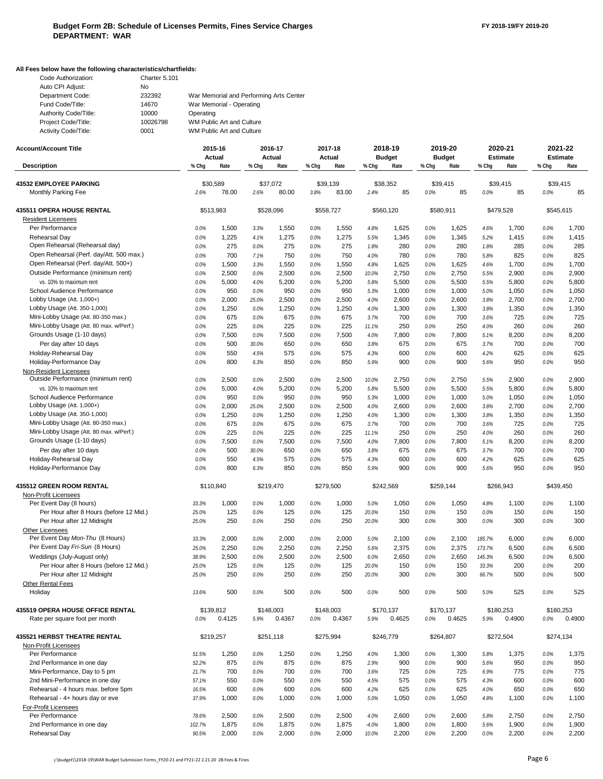## **All Fees below have the following characteristics/chartfields:**

| Code Authorization:   | Charter 5.101 |                                         |
|-----------------------|---------------|-----------------------------------------|
| Auto CPI Adjust:      | No.           |                                         |
| Department Code:      | 232392        | War Memorial and Performing Arts Center |
| Fund Code/Title:      | 14670         | War Memorial - Operating                |
| Authority Code/Title: | 10000         | Operating                               |
| Project Code/Title:   | 10026798      | WM Public Art and Culture               |
| Activity Code/Title:  | 0001          | WM Public Art and Culture               |

| <b>Account/Account Title</b>                                        |              | 2015-16           |              | 2016-17           |              | 2017-18           |               | 2018-19               |              | 2019-20               |              | 2020-21                 |              | 2021-22                 |
|---------------------------------------------------------------------|--------------|-------------------|--------------|-------------------|--------------|-------------------|---------------|-----------------------|--------------|-----------------------|--------------|-------------------------|--------------|-------------------------|
| <b>Description</b>                                                  | % Chg        | Actual<br>Rate    | % Chg        | Actual<br>Rate    | % Chg        | Actual<br>Rate    | % Chg         | <b>Budget</b><br>Rate | % Chg        | <b>Budget</b><br>Rate | % Chg        | <b>Estimate</b><br>Rate | % Chg        | <b>Estimate</b><br>Rate |
|                                                                     |              |                   |              |                   |              |                   |               |                       |              |                       |              |                         |              |                         |
| <b>43532 EMPLOYEE PARKING</b><br>Monthly Parking Fee                | 2.6%         | \$30,589<br>78.00 | 2.6%         | \$37,072<br>80.00 | 3.8%         | \$39,139<br>83.00 | 2.4%          | \$38,352<br>85        | 0.0%         | \$39,415<br>85        | 0.0%         | \$39,415<br>85          | 0.0%         | \$39,415<br>85          |
| 435511 OPERA HOUSE RENTAL                                           |              | \$513,983         |              | \$528.096         |              | \$558.727         |               | \$560.120             |              | \$580,911             |              | \$479,528               |              | \$545.615               |
| <b>Resident Licensees</b>                                           |              |                   |              |                   |              |                   |               |                       |              |                       |              |                         |              |                         |
| Per Performance                                                     | 0.0%         | 1,500             | 3.3%         | 1,550             | 0.0%         | 1,550             | 4.8%          | 1,625                 | 0.0%         | 1,625                 | 4.6%         | 1,700                   | 0.0%         | 1,700                   |
| Rehearsal Day                                                       | 0.0%         | 1,225             | 4.1%         | 1,275             | 0.0%         | 1,275             | 5.5%          | 1,345                 | 0.0%         | 1,345                 | 5.2%         | 1,415                   | 0.0%         | 1,415                   |
| Open Rehearsal (Rehearsal day)                                      | 0.0%         | 275               | 0.0%         | 275               | 0.0%         | 275               | 1.8%          | 280                   | 0.0%         | 280                   | 1.8%         | 285                     | 0.0%         | 285                     |
| Open Rehearsal (Perf. day/Att. 500 max.)                            | 0.0%         | 700               | 7.1%         | 750               | 0.0%         | 750               | 4.0%          | 780                   | 0.0%         | 780                   | 5.8%         | 825                     | 0.0%         | 825                     |
| Open Rehearsal (Perf. day/Att. 500+)                                | 0.0%         | 1,500             | 3.3%         | 1,550             | 0.0%         | 1,550             | 4.8%          | 1,625                 | 0.0%         | 1,625                 | 4.6%         | 1,700                   | 0.0%         | 1,700                   |
| Outside Performance (minimum rent)                                  | 0.0%         | 2,500             | 0.0%         | 2,500             | 0.0%         | 2,500             | 10.0%         | 2,750                 | 0.0%         | 2,750                 | 5.5%         | 2,900                   | 0.0%         | 2,900                   |
| vs. 10% to maximum rent                                             | 0.0%         | 5,000             | 4.0%         | 5,200             | 0.0%         | 5,200             | 5.8%          | 5,500                 | 0.0%         | 5,500                 | 5.5%         | 5,800                   | 0.0%         | 5,800                   |
| School Audience Performance                                         | 0.0%         | 950               | 0.0%         | 950               | 0.0%         | 950               | 5.3%          | 1,000                 | 0.0%         | 1,000                 | 5.0%         | 1,050                   | 0.0%         | 1,050                   |
| Lobby Usage (Att. 1,000+)                                           | 0.0%         | 2,000             | 25.0%        | 2,500             | 0.0%         | 2,500             | 4.0%          | 2,600                 | 0.0%         | 2,600                 | 3.8%         | 2,700                   | 0.0%         | 2,700                   |
| Lobby Usage (Att. 350-1,000)<br>Mini-Lobby Usage (Att. 80-350 max.) | 0.0%         | 1,250<br>675      | 0.0%         | 1,250             | 0.0%         | 1,250             | 4.0%          | 1,300                 | 0.0%         | 1,300                 | 3.8%         | 1,350                   | 0.0%         | 1,350<br>725            |
| Mini-Lobby Usage (Att. 80 max. w/Perf.)                             | 0.0%<br>0.0% | 225               | 0.0%<br>0.0% | 675<br>225        | 0.0%<br>0.0% | 675<br>225        | 3.7%<br>11.1% | 700<br>250            | 0.0%<br>0.0% | 700<br>250            | 3.6%<br>4.0% | 725<br>260              | 0.0%<br>0.0% | 260                     |
| Grounds Usage (1-10 days)                                           | 0.0%         | 7,500             | 0.0%         | 7,500             | 0.0%         | 7,500             | 4.0%          | 7,800                 | 0.0%         | 7,800                 | 5.1%         | 8,200                   | 0.0%         | 8,200                   |
| Per day after 10 days                                               | 0.0%         | 500               | 30.0%        | 650               | 0.0%         | 650               | 3.8%          | 675                   | 0.0%         | 675                   | 3.7%         | 700                     | 0.0%         | 700                     |
| Holiday-Rehearsal Day                                               | 0.0%         | 550               | 4.5%         | 575               | 0.0%         | 575               | 4.3%          | 600                   | 0.0%         | 600                   | 4.2%         | 625                     | 0.0%         | 625                     |
| Holiday-Performance Day                                             | 0.0%         | 800               | 6.3%         | 850               | 0.0%         | 850               | 5.9%          | 900                   | 0.0%         | 900                   | 5.6%         | 950                     | 0.0%         | 950                     |
| Non-Resident Licensees                                              |              |                   |              |                   |              |                   |               |                       |              |                       |              |                         |              |                         |
| Outside Performance (minimum rent)                                  | 0.0%         | 2,500             | 0.0%         | 2,500             | 0.0%         | 2,500             | 10.0%         | 2,750                 | 0.0%         | 2,750                 | 5.5%         | 2,900                   | 0.0%         | 2,900                   |
| vs. 10% to maximum rent                                             | 0.0%         | 5,000             | 4.0%         | 5,200             | 0.0%         | 5,200             | 5.8%          | 5,500                 | 0.0%         | 5,500                 | 5.5%         | 5,800                   | 0.0%         | 5,800                   |
| School Audience Performance                                         | 0.0%         | 950               | 0.0%         | 950               | 0.0%         | 950               | 5.3%          | 1,000                 | 0.0%         | 1,000                 | 5.0%         | 1,050                   | 0.0%         | 1,050                   |
| Lobby Usage (Att. 1,000+)                                           | 0.0%         | 2,000             | 25.0%        | 2,500             | 0.0%         | 2,500             | 4.0%          | 2,600                 | 0.0%         | 2,600                 | 3.8%         | 2,700                   | 0.0%         | 2,700                   |
| Lobby Usage (Att. 350-1,000)                                        | 0.0%         | 1,250             | 0.0%         | 1,250             | 0.0%         | 1,250             | 4.0%          | 1,300                 | 0.0%         | 1,300                 | 3.8%         | 1,350                   | 0.0%         | 1,350                   |
| Mini-Lobby Usage (Att. 80-350 max.)                                 | 0.0%         | 675               | 0.0%         | 675               | 0.0%         | 675               | 3.7%          | 700                   | 0.0%         | 700                   | 3.6%         | 725                     | 0.0%         | 725                     |
| Mini-Lobby Usage (Att. 80 max. w/Perf.)                             | 0.0%         | 225               | 0.0%         | 225               | 0.0%         | 225               | 11.1%         | 250                   | 0.0%         | 250                   | 4.0%         | 260                     | 0.0%         | 260                     |
| Grounds Usage (1-10 days)                                           | 0.0%         | 7,500             | 0.0%         | 7,500             | 0.0%         | 7,500             | 4.0%          | 7,800                 | 0.0%         | 7,800                 | 5.1%         | 8,200                   | 0.0%         | 8,200                   |
| Per day after 10 days                                               | 0.0%         | 500               | 30.0%        | 650               | 0.0%         | 650               | 3.8%          | 675                   | 0.0%         | 675                   | 3.7%         | 700                     | 0.0%         | 700                     |
| Holiday-Rehearsal Day                                               | 0.0%         | 550               | 4.5%         | 575               | 0.0%         | 575               | 4.3%          | 600                   | 0.0%         | 600                   | 4.2%         | 625                     | 0.0%         | 625                     |
| Holiday-Performance Day                                             | 0.0%         | 800               | 6.3%         | 850               | 0.0%         | 850               | 5.9%          | 900                   | 0.0%         | 900                   | 5.6%         | 950                     | 0.0%         | 950                     |
| 435512 GREEN ROOM RENTAL                                            |              | \$110,840         |              | \$219,470         |              | \$279,500         |               | \$242,569             |              | \$259,144             |              | \$266,943               |              | \$439,450               |
| Non-Profit Licensees                                                |              |                   |              |                   |              |                   |               |                       |              |                       |              |                         |              |                         |
| Per Event Day (8 hours)                                             | 33.3%        | 1,000             | 0.0%         | 1,000             | 0.0%         | 1,000             | 5.0%          | 1,050                 | 0.0%         | 1,050                 | 4.8%         | 1,100                   | 0.0%         | 1,100                   |
| Per Hour after 8 Hours (before 12 Mid.)                             | 25.0%        | 125               | 0.0%         | 125               | 0.0%         | 125               | 20.0%         | 150                   | 0.0%         | 150                   | 0.0%         | 150                     | 0.0%         | 150                     |
| Per Hour after 12 Midnight                                          | 25.0%        | 250               | 0.0%         | 250               | 0.0%         | 250               | 20.0%         | 300                   | 0.0%         | 300                   | 0.0%         | 300                     | 0.0%         | 300                     |
| <b>Other Licensees</b>                                              |              |                   |              |                   |              |                   |               |                       |              |                       |              |                         |              |                         |
| Per Event Day Mon-Thu (8 Hours)                                     | 33.3%        | 2,000             | 0.0%         | 2,000             | 0.0%         | 2,000             | 5.0%          | 2,100                 | 0.0%         | 2,100                 | 185.7%       | 6,000                   | 0.0%         | 6,000                   |
| Per Event Day Fri-Sun (8 Hours)                                     | 25.0%        | 2,250             | 0.0%         | 2,250             | 0.0%         | 2,250             | 5.6%          | 2,375                 | 0.0%         | 2,375                 | 173.7%       | 6,500                   | 0.0%         | 6,500                   |
| Weddings (July-August only)                                         | 38.9%        | 2,500             | 0.0%         | 2,500             | 0.0%         | 2,500             | 6.0%          | 2,650                 | 0.0%         | 2,650                 | 145.3%       | 6,500                   | 0.0%         | 6,500                   |
| Per Hour after 8 Hours (before 12 Mid.)                             | 25.0%        | 125               | 0.0%         | 125               | 0.0%         | 125               | 20.0%         | 150                   | 0.0%         | 150                   | 33.3%        | 200                     | 0.0%         | 200                     |
| Per Hour after 12 Midnight                                          | 25.0%        | 250               | 0.0%         | 250               | 0.0%         | 250               | 20.0%         | 300                   | 0.0%         | 300                   | 66.7%        | 500                     | 0.0%         | 500                     |
| Other Rental Fees<br>Holiday                                        | 13.6%        | 500               | 0.0%         | 500               | 0.0%         | 500               | 0.0%          | 500                   | 0.0%         | 500                   | 5.0%         | 525                     | 0.0%         | 525                     |
| <b>435519 OPERA HOUSE OFFICE RENTAL</b>                             |              | \$139,812         |              | \$148,003         |              | \$148,003         |               | \$170,137             |              | \$170.137             |              | \$180,253               |              | \$180,253               |
| Rate per square foot per month                                      | 0.0%         | 0.4125            | 5.9%         | 0.4367            | $0.0\%$      | 0.4367            | 5.9%          | 0.4625                | 0.0%         | 0.4625                | 5.9%         | 0.4900                  | 0.0%         | 0.4900                  |
| <b>435521 HERBST THEATRE RENTAL</b>                                 |              | \$219,257         |              | \$251,118         |              | \$275,994         |               | \$246,779             |              | \$264,807             |              | \$272,504               |              | \$274,134               |
| Non-Profit Licensees                                                |              |                   |              |                   |              |                   |               |                       |              |                       |              |                         |              |                         |
| Per Performance                                                     | 51.5%        | 1,250             | 0.0%         | 1,250             | 0.0%         | 1,250             | 4.0%          | 1,300                 | 0.0%         | 1,300                 | 5.8%         | 1,375                   | 0.0%         | 1,375                   |
| 2nd Performance in one day                                          | 52.2%        | 875               | 0.0%         | 875               | 0.0%         | 875               | 2.9%          | 900                   | 0.0%         | 900                   | 5.6%         | 950                     | 0.0%         | 950                     |
| Mini-Performance, Day to 5 pm                                       | 21.7%        | 700               | 0.0%         | 700               | 0.0%         | 700               | 3.6%          | 725                   | 0.0%         | 725                   | 6.9%         | 775                     | 0.0%         | 775                     |
| 2nd Mini-Performance in one day                                     | 57.1%        | 550               | 0.0%         | 550               | 0.0%         | 550               | 4.5%          | 575                   | 0.0%         | 575                   | 4.3%         | 600                     | 0.0%         | 600                     |
| Rehearsal - 4 hours max. before 5pm                                 | 16.5%        | 600               | 0.0%         | 600               | 0.0%         | 600               | 4.2%          | 625                   | 0.0%         | 625                   | 4.0%         | 650                     | 0.0%         | 650                     |
| Rehearsal - 4+ hours day or eve                                     | 37.9%        | 1,000             | 0.0%         | 1,000             | 0.0%         | 1,000             | 5.0%          | 1,050                 | 0.0%         | 1,050                 | 4.8%         | 1,100                   | 0.0%         | 1,100                   |
| For-Profit Licensees                                                |              |                   |              |                   |              |                   |               |                       |              |                       |              |                         |              |                         |
| Per Performance                                                     | 78.6%        | 2,500             | 0.0%         | 2,500             | 0.0%         | 2,500             | 4.0%          | 2,600                 | 0.0%         | 2,600                 | 5.8%         | 2,750                   | 0.0%         | 2,750                   |
| 2nd Performance in one day                                          | 102.7%       | 1,875             | 0.0%         | 1,875             | 0.0%         | 1,875             | $-4.0%$       | 1,800                 | 0.0%         | 1,800                 | 5.6%         | 1,900                   | 0.0%         | 1,900                   |
| Rehearsal Day                                                       | 90.5%        | 2,000             | 0.0%         | 2,000             | 0.0%         | 2,000             | 10.0%         | 2,200                 | 0.0%         | 2,200                 | 0.0%         | 2,200                   | 0.0%         | 2,200                   |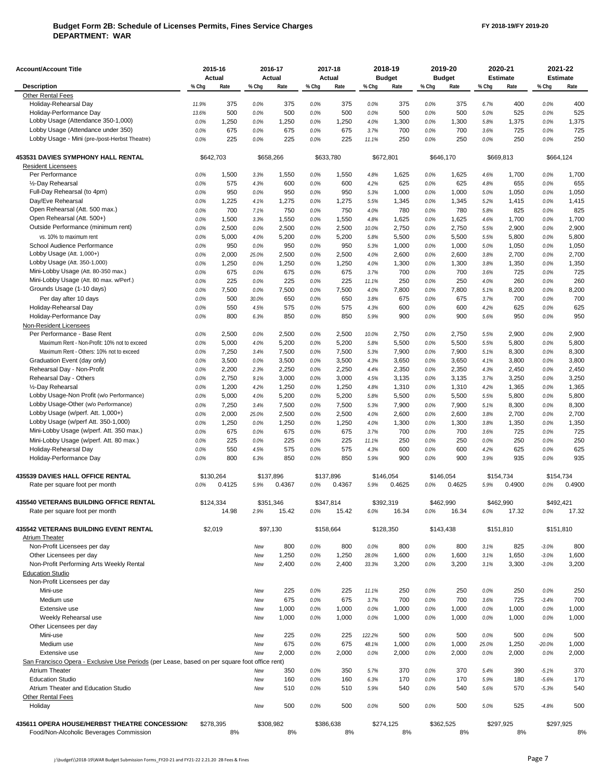### **Budget Form 2B: Schedule of Licenses Permits, Fines Service Charges DEPARTMENT: WAR**

| <b>Account/Account Title</b>                                                                  |                   | 2015-16<br>Actual |                   | 2016-17<br>Actual  |                   | 2017-18<br>Actual |                   | 2018-19<br><b>Budget</b> |                   | 2019-20<br><b>Budget</b> |                   | 2020-21<br><b>Estimate</b> | 2021-22<br><b>Estimate</b> |                |
|-----------------------------------------------------------------------------------------------|-------------------|-------------------|-------------------|--------------------|-------------------|-------------------|-------------------|--------------------------|-------------------|--------------------------|-------------------|----------------------------|----------------------------|----------------|
| <b>Description</b>                                                                            | % Chg             | Rate              | % Chg             | Rate               | % Chg             | Rate              | % Chg             | Rate                     | % Chg             | Rate                     | % Chg             | Rate                       | % Chg                      | Rate           |
| <b>Other Rental Fees</b>                                                                      |                   |                   |                   |                    |                   |                   |                   |                          |                   |                          |                   |                            |                            |                |
| Holiday-Rehearsal Day                                                                         | 11.9%             | 375               | 0.0%              | 375                | 0.0%              | 375               | 0.0%              | 375                      | 0.0%              | 375                      | 6.7%              | 400                        | 0.0%                       | 400            |
| Holiday-Performance Day                                                                       | 13.6%             | 500               | 0.0%              | 500                | 0.0%              | 500               | 0.0%              | 500                      | 0.0%              | 500                      | 5.0%              | 525                        | 0.0%                       | 525            |
| Lobby Usage (Attendance 350-1,000)                                                            | 0.0%              | 1,250             | 0.0%              | 1,250              | 0.0%              | 1,250             | 4.0%              | 1,300                    | 0.0%              | 1,300                    | 5.8%              | 1,375                      | 0.0%                       | 1,375          |
| Lobby Usage (Attendance under 350)                                                            | 0.0%              | 675               | 0.0%              | 675                | 0.0%              | 675               | 3.7%              | 700                      | 0.0%              | 700                      | 3.6%              | 725                        | 0.0%                       | 725            |
| Lobby Usage - Mini (pre-/post-Herbst Theatre)                                                 | 0.0%              | 225               | 0.0%              | 225                | 0.0%              | 225               | 11.1%             | 250                      | 0.0%              | 250                      | 0.0%              | 250                        | 0.0%                       | 250            |
| 453531 DAVIES SYMPHONY HALL RENTAL                                                            | \$642,703         |                   | \$658,266         |                    | \$633,780         |                   | \$672,801         |                          | \$646,170         |                          | \$669,813         |                            | \$664,124                  |                |
| <b>Resident Licensees</b>                                                                     |                   |                   |                   |                    |                   |                   |                   |                          |                   |                          |                   |                            |                            |                |
| Per Performance                                                                               | 0.0%              | 1,500             | 3.3%              | 1,550              | 0.0%              | 1,550             | 4.8%              | 1,625                    | 0.0%              | 1,625                    | 4.6%              | 1,700                      | 0.0%                       | 1,700          |
| 1/2-Day Rehearsal                                                                             | 0.0%              | 575               | 4.3%              | 600                | 0.0%              | 600               | 4.2%              | 625                      | 0.0%              | 625                      | 4.8%              | 655                        | 0.0%                       | 655            |
| Full-Day Rehearsal (to 4pm)                                                                   | 0.0%              | 950               | 0.0%              | 950                | 0.0%              | 950               | 5.3%              | 1,000                    | 0.0%              | 1,000                    | 5.0%              | 1,050                      | 0.0%                       | 1,050          |
| Day/Eve Rehearsal                                                                             | 0.0%              | 1,225             | 4.1%              | 1,275              | 0.0%              | 1,275             | 5.5%              | 1,345                    | 0.0%              | 1,345                    | 5.2%              | 1,415                      | 0.0%                       | 1,415          |
| Open Rehearsal (Att. 500 max.)                                                                | 0.0%              | 700               | 7.1%              | 750                | 0.0%              | 750               | 4.0%              | 780                      | 0.0%              | 780                      | 5.8%              | 825                        | 0.0%                       | 825            |
| Open Rehearsal (Att. 500+)                                                                    | 0.0%              | 1,500             | 3.3%              | 1,550              | 0.0%              | 1,550             | 4.8%              | 1,625                    | 0.0%              | 1,625                    | 4.6%              | 1,700                      | 0.0%                       | 1,700          |
| Outside Performance (minimum rent)                                                            | 0.0%              | 2,500             | 0.0%              | 2,500              | 0.0%              | 2,500             | 10.0%             | 2,750                    | 0.0%              | 2,750                    | 5.5%              | 2,900                      | 0.0%                       | 2,900          |
| vs. 10% to maximum rent                                                                       | 0.0%              | 5,000             | 4.0%              | 5,200              | 0.0%              | 5,200             | 5.8%              | 5,500                    | 0.0%              | 5,500                    | 5.5%              | 5,800                      | 0.0%                       | 5,800          |
| School Audience Performance                                                                   | 0.0%              | 950               | 0.0%              | 950                | 0.0%              | 950               | 5.3%              | 1,000                    | 0.0%              | 1,000                    | 5.0%              | 1,050                      | 0.0%                       | 1,050          |
| Lobby Usage (Att. 1,000+)                                                                     | 0.0%              | 2,000             | 25.0%             | 2,500              | 0.0%              | 2,500             | 4.0%              | 2,600                    | 0.0%              | 2,600                    | 3.8%              | 2,700                      | 0.0%                       | 2,700          |
| Lobby Usage (Att. 350-1,000)                                                                  | 0.0%              | 1,250             | 0.0%              | 1,250              | 0.0%              | 1,250             | 4.0%              | 1,300                    | 0.0%              | 1,300                    | 3.8%              | 1,350                      | 0.0%                       | 1,350          |
| Mini-Lobby Usage (Att. 80-350 max.)                                                           | 0.0%              | 675               | 0.0%              | 675                | 0.0%              | 675               | 3.7%              | 700                      | 0.0%              | 700                      | 3.6%              | 725                        | 0.0%                       | 725            |
| Mini-Lobby Usage (Att. 80 max. w/Perf.)                                                       | 0.0%              | 225               | 0.0%              | 225                | 0.0%              | 225               | 11.1%             | 250                      | 0.0%              | 250                      | 4.0%              | 260                        | 0.0%                       | 260            |
| Grounds Usage (1-10 days)                                                                     | 0.0%              | 7,500             | 0.0%              | 7,500              | 0.0%              | 7,500             | 4.0%              | 7,800                    | 0.0%              | 7,800                    | 5.1%              | 8,200                      | 0.0%                       | 8,200          |
| Per day after 10 days                                                                         | 0.0%              | 500               | 30.0%             | 650                | 0.0%              | 650               | 3.8%              | 675                      | 0.0%              | 675                      | 3.7%              | 700                        | 0.0%                       | 700            |
| Holiday-Rehearsal Day                                                                         | 0.0%              | 550               | 4.5%              | 575                | 0.0%              | 575               | 4.3%              | 600                      | 0.0%              | 600                      | 4.2%              | 625                        | 0.0%                       | 625            |
| Holiday-Performance Day                                                                       | 0.0%              | 800               | 6.3%              | 850                | 0.0%              | 850               | 5.9%              | 900                      | 0.0%              | 900                      | 5.6%              | 950                        | 0.0%                       | 950            |
| Non-Resident Licensees                                                                        |                   |                   |                   |                    |                   |                   |                   |                          |                   |                          |                   |                            |                            |                |
| Per Performance - Base Rent                                                                   | 0.0%              | 2,500             | 0.0%              | 2,500              | 0.0%              | 2,500             | 10.0%             | 2,750                    | 0.0%              | 2,750                    | 5.5%              | 2,900                      | 0.0%                       | 2,900          |
| Maximum Rent - Non-Profit: 10% not to exceed                                                  | 0.0%              | 5,000             | 4.0%              | 5,200              | 0.0%              | 5,200             | 5.8%              | 5,500                    | 0.0%              | 5,500                    | 5.5%              | 5,800                      | 0.0%                       | 5,800          |
| Maximum Rent - Others: 10% not to exceed<br>Graduation Event (day only)                       | 0.0%<br>0.0%      | 7,250<br>3,500    | 3.4%              | 7,500<br>3,500     | 0.0%<br>0.0%      | 7,500<br>3,500    | 5.3%<br>4.3%      | 7,900<br>3,650           | 0.0%<br>0.0%      | 7,900<br>3,650           | 5.1%<br>4.1%      | 8,300<br>3,800             | 0.0%<br>0.0%               | 8,300<br>3,800 |
| Rehearsal Day - Non-Profit                                                                    | 0.0%              | 2,200             | 0.0%<br>2.3%      | 2,250              | 0.0%              | 2,250             | 4.4%              | 2,350                    | 0.0%              | 2,350                    | 4.3%              | 2,450                      | 0.0%                       | 2,450          |
| Rehearsal Day - Others                                                                        | 0.0%              | 2,750             | 9.1%              | 3,000              | 0.0%              | 3,000             | 4.5%              | 3,135                    | 0.0%              | 3,135                    | 3.7%              | 3,250                      | 0.0%                       | 3,250          |
| 1/2-Day Rehearsal                                                                             | 0.0%              | 1,200             | 4.2%              | 1,250              | 0.0%              | 1,250             | 4.8%              | 1,310                    | 0.0%              | 1,310                    | 4.2%              | 1,365                      | 0.0%                       | 1,365          |
| Lobby Usage-Non Profit (w/o Performance)                                                      | 0.0%              | 5,000             | 4.0%              | 5,200              | 0.0%              | 5,200             | 5.8%              | 5,500                    | 0.0%              | 5,500                    | 5.5%              | 5,800                      | 0.0%                       | 5,800          |
| Lobby Usage-Other (w/o Performance)                                                           | 0.0%              | 7,250             | 3.4%              | 7,500              | 0.0%              | 7,500             | 5.3%              | 7,900                    | 0.0%              | 7,900                    | 5.1%              | 8,300                      | 0.0%                       | 8,300          |
| Lobby Usage (w/perf. Att. 1,000+)                                                             | 0.0%              | 2,000             | 25.0%             | 2,500              | 0.0%              | 2,500             | 4.0%              | 2,600                    | 0.0%              | 2,600                    | 3.8%              | 2,700                      | 0.0%                       | 2,700          |
| Lobby Usage (w/perf Att. 350-1,000)                                                           | 0.0%              | 1,250             | 0.0%              | 1,250              | 0.0%              | 1,250             | 4.0%              | 1,300                    | 0.0%              | 1,300                    | 3.8%              | 1,350                      | 0.0%                       | 1,350          |
| Mini-Lobby Usage (w/perf. Att. 350 max.)                                                      | 0.0%              | 675               | 0.0%              | 675                | 0.0%              | 675               | 3.7%              | 700                      | 0.0%              | 700                      | 3.6%              | 725                        | 0.0%                       | 725            |
| Mini-Lobby Usage (w/perf. Att. 80 max.)                                                       | 0.0%              | 225               | 0.0%              | 225                | 0.0%              | 225               | 11.1%             | 250                      | 0.0%              | 250                      | 0.0%              | 250                        | 0.0%                       | 250            |
| Holiday-Rehearsal Day                                                                         | 0.0%              | 550               | 4.5%              | 575                | 0.0%              | 575               | 4.3%              | 600                      | 0.0%              | 600                      | 4.2%              | 625                        | 0.0%                       | 625            |
| Holiday-Performance Day                                                                       | 0.0%              | 800               | 6.3%              | 850                | 0.0%              | 850               | 5.9%              | 900                      | 0.0%              | 900                      | 3.9%              | 935                        | 0.0%                       | 935            |
|                                                                                               |                   |                   |                   |                    |                   |                   |                   |                          |                   |                          |                   |                            |                            |                |
| <b>435539 DAVIES HALL OFFICE RENTAL</b><br>Rate per square foot per month                     | \$130,264<br>0.0% | 0.4125            | \$137,896<br>5.9% | 0.4367             | \$137,896<br>0.0% | 0.4367            | \$146.054<br>5.9% | 0.4625                   | \$146,054<br>0.0% | 0.4625                   | \$154,734<br>5.9% | 0.4900                     | \$154,734<br>0.0%          | 0.4900         |
|                                                                                               |                   |                   |                   |                    |                   |                   | \$392,319         |                          |                   |                          | \$462.990         |                            |                            |                |
| 435540 VETERANS BUILDING OFFICE RENTAL<br>Rate per square foot per month                      | \$124,334         | 14.98             | 2.9%              | \$351,346<br>15.42 | \$347,814<br>0.0% | 15.42             | 6.0%              | 16.34                    | \$462,990<br>0.0% | 16.34                    | 6.0%              | 17.32                      | \$492,421<br>0.0%          | 17.32          |
| 435542 VETERANS BUILDING EVENT RENTAL                                                         |                   | \$2,019           |                   | \$97,130           | \$158,664         |                   | \$128,350         |                          | \$143,438         |                          |                   | \$151,810                  | \$151,810                  |                |
| <b>Atrium Theater</b>                                                                         |                   |                   |                   |                    |                   |                   |                   |                          |                   |                          |                   |                            |                            |                |
| Non-Profit Licensees per day                                                                  |                   |                   | New               | 800                | 0.0%              | 800               | 0.0%              | 800                      | 0.0%              | 800                      | 3.1%              | 825                        | $-3.0%$                    | 800            |
| Other Licensees per day                                                                       |                   |                   | New               | 1,250              | 0.0%              | 1,250             | 28.0%             | 1,600                    | 0.0%              | 1,600                    | 3.1%              | 1,650                      | $-3.0%$                    | 1,600          |
| Non-Profit Performing Arts Weekly Rental                                                      |                   |                   | New               | 2,400              | 0.0%              | 2,400             | 33.3%             | 3,200                    | 0.0%              | 3,200                    | 3.1%              | 3,300                      | $-3.0%$                    | 3,200          |
| <b>Education Studio</b>                                                                       |                   |                   |                   |                    |                   |                   |                   |                          |                   |                          |                   |                            |                            |                |
| Non-Profit Licensees per day                                                                  |                   |                   |                   |                    |                   |                   |                   |                          |                   |                          |                   |                            |                            |                |
| Mini-use                                                                                      |                   |                   | New               | 225                | 0.0%              | 225               | 11.1%             | 250                      | 0.0%              | 250                      | 0.0%              | 250                        | 0.0%                       | 250            |
| Medium use                                                                                    |                   |                   | New               | 675                | 0.0%              | 675               | 3.7%              | 700                      | 0.0%              | 700                      | 3.6%              | 725                        | $-3.4%$                    | 700            |
| Extensive use                                                                                 |                   |                   | New               | 1,000              | 0.0%              | 1,000             | 0.0%              | 1,000                    | 0.0%              | 1,000                    | 0.0%              | 1,000                      | 0.0%                       | 1,000          |
| Weekly Rehearsal use                                                                          |                   |                   | New               | 1,000              | 0.0%              | 1,000             | 0.0%              | 1,000                    | 0.0%              | 1,000                    | 0.0%              | 1,000                      | 0.0%                       | 1,000          |
| Other Licensees per day                                                                       |                   |                   |                   |                    |                   |                   |                   |                          |                   |                          |                   |                            |                            |                |
| Mini-use                                                                                      |                   |                   | New               | 225                | 0.0%              | 225               | 122.2%            | 500                      | 0.0%              | 500                      | 0.0%              | 500                        | 0.0%                       | 500            |
| Medium use                                                                                    |                   |                   | New               | 675                | 0.0%              | 675               | 48.1%             | 1,000                    | 0.0%              | 1,000                    | 25.0%             | 1,250                      | $-20.0%$                   | 1,000          |
| Extensive use                                                                                 |                   |                   | New               | 2,000              | 0.0%              | 2,000             | 0.0%              | 2,000                    | 0.0%              | 2,000                    | 0.0%              | 2,000                      | 0.0%                       | 2,000          |
| San Francisco Opera - Exclusive Use Periods (per Lease, based on per square foot office rent) |                   |                   |                   |                    |                   |                   |                   |                          |                   |                          |                   |                            |                            |                |
| <b>Atrium Theater</b>                                                                         |                   |                   | New               | 350                | 0.0%              | 350               | 5.7%              | 370                      | 0.0%              | 370                      | 5.4%              | 390                        | $-5.1%$                    | 370            |
| <b>Education Studio</b>                                                                       |                   |                   | New               | 160                | 0.0%              | 160               | 6.3%              | 170                      | 0.0%              | 170                      | 5.9%              | 180                        | $-5.6%$                    | 170            |
| Atrium Theater and Education Studio                                                           |                   |                   | New               | 510                | 0.0%              | 510               | 5.9%              | 540                      | 0.0%              | 540                      | 5.6%              | 570                        | $-5.3%$                    | 540            |
| <b>Other Rental Fees</b><br>Holiday                                                           |                   |                   | New               | 500                | 0.0%              | 500               | 0.0%              | 500                      | 0.0%              | 500                      | 5.0%              | 525                        | $-4.8%$                    | 500            |
|                                                                                               |                   |                   |                   |                    |                   |                   |                   |                          |                   |                          |                   |                            |                            |                |
| 435611 OPERA HOUSE/HERBST THEATRE CONCESSION:<br>Food/Non-Alcoholic Beverages Commission      |                   | \$278,395<br>8%   |                   | \$308,982<br>8%    | \$386,638         | 8%                | \$274,125         | 8%                       | \$362,525         | 8%                       | \$297,925         | 8%                         | \$297,925                  | 8%             |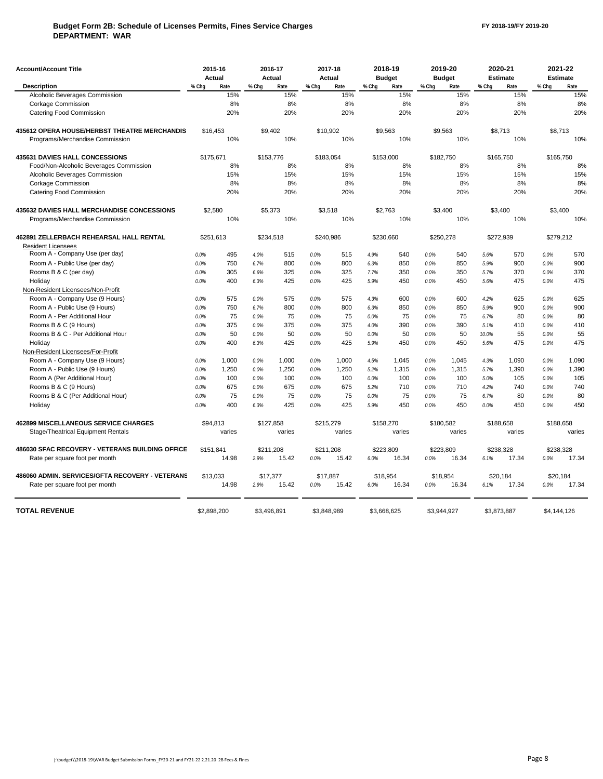## **Budget Form 2B: Schedule of Licenses Permits, Fines Service Charges DEPARTMENT: WAR**

| <b>Account/Account Title</b>                      |           | 2015-16     |             | 2016-17   |       | 2017-18     |           | 2018-19       |       | 2019-20       |       | 2020-21         |             | 2021-22         |
|---------------------------------------------------|-----------|-------------|-------------|-----------|-------|-------------|-----------|---------------|-------|---------------|-------|-----------------|-------------|-----------------|
|                                                   |           | Actual      |             | Actual    |       | Actual      |           | <b>Budget</b> |       | <b>Budget</b> |       | <b>Estimate</b> |             | <b>Estimate</b> |
| <b>Description</b>                                | % Chq     | Rate        | % Chq       | Rate      | % Chq | Rate        | % Chq     | Rate          | % Chq | Rate          | % Chq | Rate            | % Chq       | Rate            |
| Alcoholic Beverages Commission                    |           | 15%         |             | 15%       |       | 15%         |           | 15%           |       | 15%           |       | 15%             |             | 15%             |
| <b>Corkage Commission</b>                         |           | 8%          |             | 8%        |       | 8%          |           | 8%            |       | 8%            |       | 8%              |             | 8%              |
| Catering Food Commission                          |           | 20%         |             | 20%       |       | 20%         |           | 20%           |       | 20%           |       | 20%             |             | 20%             |
| 435612 OPERA HOUSE/HERBST THEATRE MERCHANDIS      |           | \$16,453    |             | \$9.402   |       | \$10.902    |           | \$9.563       |       | \$9.563       |       | \$8.713         | \$8.713     |                 |
| Programs/Merchandise Commission                   |           | 10%         |             | 10%       |       | 10%         |           | 10%           |       | 10%           |       | 10%             |             | 10%             |
| 435631 DAVIES HALL CONCESSIONS                    | \$175,671 |             |             | \$153,776 |       | \$183,054   | \$153,000 |               |       | \$182,750     |       | \$165,750       | \$165,750   |                 |
| Food/Non-Alcoholic Beverages Commission           |           | 8%          |             | 8%        |       | 8%          |           | 8%            |       | 8%            |       | 8%              |             | 8%              |
| Alcoholic Beverages Commission                    |           | 15%         |             | 15%       |       | 15%         |           | 15%           |       | 15%           |       | 15%             |             | 15%             |
| Corkage Commission                                |           | 8%          |             | 8%        |       | 8%          |           | 8%            |       | 8%            |       | 8%              |             | 8%              |
| Catering Food Commission                          |           | 20%         |             | 20%       |       | 20%         |           | 20%           |       | 20%           |       | 20%             |             | 20%             |
| <b>435632 DAVIES HALL MERCHANDISE CONCESSIONS</b> |           | \$2,580     |             | \$5,373   |       | \$3,518     |           | \$2,763       |       | \$3,400       |       | \$3,400         | \$3,400     |                 |
| Programs/Merchandise Commission                   |           | 10%         |             | 10%       |       | 10%         |           | 10%           |       | 10%           |       | 10%             |             | 10%             |
| 462891 ZELLERBACH REHEARSAL HALL RENTAL           |           | \$251,613   |             | \$234,518 |       | \$240,986   |           | \$230,660     |       | \$250,278     |       | \$272,939       | \$279,212   |                 |
| <b>Resident Licensees</b>                         |           |             |             |           |       |             |           |               |       |               |       |                 |             |                 |
| Room A - Company Use (per day)                    | 0.0%      | 495         | 4.0%        | 515       | 0.0%  | 515         | 4.9%      | 540           | 0.0%  | 540           | 5.6%  | 570             | 0.0%        | 570             |
| Room A - Public Use (per day)                     | 0.0%      | 750         | 6.7%        | 800       | 0.0%  | 800         | 6.3%      | 850           | 0.0%  | 850           | 5.9%  | 900             | 0.0%        | 900             |
| Rooms B & C (per day)                             | 0.0%      | 305         | 6.6%        | 325       | 0.0%  | 325         | 7.7%      | 350           | 0.0%  | 350           | 5.7%  | 370             | 0.0%        | 370             |
| Holiday                                           | 0.0%      | 400         | 6.3%        | 425       | 0.0%  | 425         | 5.9%      | 450           | 0.0%  | 450           | 5.6%  | 475             | 0.0%        | 475             |
| Non-Resident Licensees/Non-Profit                 |           |             |             |           |       |             |           |               |       |               |       |                 |             |                 |
| Room A - Company Use (9 Hours)                    | 0.0%      | 575         | 0.0%        | 575       | 0.0%  | 575         | 4.3%      | 600           | 0.0%  | 600           | 4.2%  | 625             | 0.0%        | 625             |
| Room A - Public Use (9 Hours)                     | 0.0%      | 750         | 6.7%        | 800       | 0.0%  | 800         | 6.3%      | 850           | 0.0%  | 850           | 5.9%  | 900             | 0.0%        | 900             |
| Room A - Per Additional Hour                      | 0.0%      | 75          | 0.0%        | 75        | 0.0%  | 75          | 0.0%      | 75            | 0.0%  | 75            | 6.7%  | 80              | 0.0%        | 80              |
| Rooms B & C (9 Hours)                             | 0.0%      | 375         | 0.0%        | 375       | 0.0%  | 375         | 4.0%      | 390           | 0.0%  | 390           | 5.1%  | 410             | 0.0%        | 410             |
| Rooms B & C - Per Additional Hour                 | 0.0%      | 50          | 0.0%        | 50        | 0.0%  | 50          | 0.0%      | 50            | 0.0%  | 50            | 10.0% | 55              | 0.0%        | 55              |
| Holiday                                           | 0.0%      | 400         | 6.3%        | 425       | 0.0%  | 425         | 5.9%      | 450           | 0.0%  | 450           | 5.6%  | 475             | 0.0%        | 475             |
| Non-Resident Licensees/For-Profit                 |           |             |             |           |       |             |           |               |       |               |       |                 |             |                 |
| Room A - Company Use (9 Hours)                    | 0.0%      | 1,000       | 0.0%        | 1,000     | 0.0%  | 1,000       | 4.5%      | 1,045         | 0.0%  | 1,045         | 4.3%  | 1,090           | 0.0%        | 1,090           |
| Room A - Public Use (9 Hours)                     | 0.0%      | 1.250       | 0.0%        | 1.250     | 0.0%  | 1.250       | 5.2%      | 1,315         | 0.0%  | 1,315         | 5.7%  | 1.390           | 0.0%        | 1,390           |
| Room A (Per Additional Hour)                      | 0.0%      | 100         | 0.0%        | 100       | 0.0%  | 100         | 0.0%      | 100           | 0.0%  | 100           | 5.0%  | 105             | 0.0%        | 105             |
| Rooms B & C (9 Hours)                             | 0.0%      | 675         | 0.0%        | 675       | 0.0%  | 675         | 5.2%      | 710           | 0.0%  | 710           | 4.2%  | 740             | 0.0%        | 740             |
| Rooms B & C (Per Additional Hour)                 | 0.0%      | 75          | 0.0%        | 75        | 0.0%  | 75          | 0.0%      | 75            | 0.0%  | 75            | 6.7%  | 80              | 0.0%        | 80              |
| Holiday                                           | 0.0%      | 400         | 6.3%        | 425       | 0.0%  | 425         | 5.9%      | 450           | 0.0%  | 450           | 0.0%  | 450             | 0.0%        | 450             |
| <b>462899 MISCELLANEOUS SERVICE CHARGES</b>       |           | \$94,813    |             | \$127,858 |       | \$215,279   |           | \$158,270     |       | \$180,582     |       | \$188,658       | \$188,658   |                 |
| Stage/Theatrical Equipment Rentals                |           | varies      |             | varies    |       | varies      |           | varies        |       | varies        |       | varies          |             | varies          |
| 486030 SFAC RECOVERY - VETERANS BUILDING OFFICE   | \$151.841 |             | \$211.208   |           |       | \$211.208   |           | \$223.809     |       | \$223.809     |       | \$238.328       | \$238.328   |                 |
| Rate per square foot per month                    |           | 14.98       | 2.9%        | 15.42     | 0.0%  | 15.42       | 6.0%      | 16.34         | 0.0%  | 16.34         | 6.1%  | 17.34           | 0.0%        | 17.34           |
| 486060 ADMIN, SERVICES/GFTA RECOVERY - VETERANS   |           | \$13,033    | \$17,377    |           |       | \$17,887    |           | \$18,954      |       | \$18,954      |       | \$20,184        | \$20,184    |                 |
| Rate per square foot per month                    |           | 14.98       | 2.9%        | 15.42     | 0.0%  | 15.42       | 6.0%      | 16.34         | 0.0%  | 16.34         | 6.1%  | 17.34           | 0.0%        | 17.34           |
| <b>TOTAL REVENUE</b>                              |           | \$2,898,200 | \$3.496.891 |           |       | \$3,848,989 |           | \$3.668.625   |       | \$3.944.927   |       | \$3,873,887     | \$4,144,126 |                 |
|                                                   |           |             |             |           |       |             |           |               |       |               |       |                 |             |                 |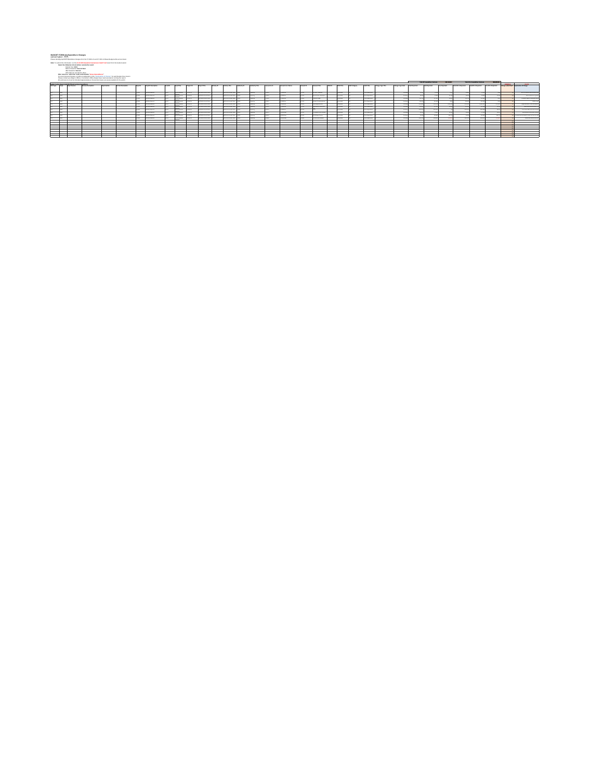#### **BUDGET FORM 3A: Expenditure Changes**

DEPARTMENT: \_\_\_\_\_\_ Please identify proposed expenditure changes from the FY 2020-21 and FY 2021-22 Base Budget at the account level. WAR

#### **Note**: To submit this information run the **15 30 005 Snapshot Comparison (Audit Trail)** report from the budget system

**Select the following criteria before running the report:** 

Budget Year: **2021** Before Snapshot: **Start of Dept**

After Snapshot: **Current** GFS Type: Do not select a value

**Figures reported downed and the market of the "Automatics of Present" be each Robert View or have** 

Please content your Meyer's Office or Canded any Office Jealrand at you wend associationar numbing this requir<br>At submissions must be formatted appropriately so that printed explan are easily readable for the public.

|             |                                                          |                         |                  |                            |              |                             |                   |                   |                |                                             |            |                                       |                     |                |                          |                   |                    |                                       |              |                 |                     |                      |                  |                          |                       | <b>Total Of Executives Variation</b> | 512,433,491          |                        | Total Bry & Concretiture Victimire      |                 |                 |                                                            |
|-------------|----------------------------------------------------------|-------------------------|------------------|----------------------------|--------------|-----------------------------|-------------------|-------------------|----------------|---------------------------------------------|------------|---------------------------------------|---------------------|----------------|--------------------------|-------------------|--------------------|---------------------------------------|--------------|-----------------|---------------------|----------------------|------------------|--------------------------|-----------------------|--------------------------------------|----------------------|------------------------|-----------------------------------------|-----------------|-----------------|------------------------------------------------------------|
|             | baket Sydem Report (C.30305 Shane) on Group Expenditures |                         |                  |                            |              |                             |                   |                   |                |                                             |            |                                       |                     |                |                          |                   |                    |                                       |              |                 |                     |                      |                  |                          |                       |                                      |                      |                        |                                         |                 | <b>ATABASIA</b> | ---                                                        |
| on the Dear | Date Statement                                           | <b>Statute Douglass</b> | <b>Bastleton</b> | <b>Leather Description</b> | <b>Bandy</b> | Down 62 Description         | <b>Tank Of</b>    | Fund Title        | Product GL     | <b><i><u><u><b>Property</b></u></u></i></b> | Articles G | Arriving Trees                        | <b>Anhancia</b> St. | Authenty Trial | Annapolis (pri 5)        | Annual M Chang    | <b>Assessed ID</b> | Annual Title                          | <b>THOSE</b> | Thio Trip       | <b>AND Currency</b> | AA0 THE              | Owner Type Title | <b>Change Trave Code</b> | <b>Start Seat And</b> | End Executions                       | <b>San Done Amer</b> | <b>Bart Britismann</b> | Englished Deal And    Nor Brit Deal And |                 |                 | Dana substitute Enterprise of Dung                         |
|             |                                                          |                         |                  |                            |              |                             |                   |                   |                |                                             |            |                                       |                     |                |                          |                   |                    |                                       |              |                 |                     |                      |                  |                          |                       |                                      |                      |                        |                                         |                 |                 |                                                            |
|             |                                                          |                         |                  |                            |              | <b>BOX 85 MARCHE</b>        |                   | <b>Marketing</b>  | <b>BELLER</b>  | <b>BE FURN STARTINGS</b>                    |            | <b><i>STANDARDO</i></b>               |                     | <b>MARK</b>    | $-0.000$                 | <b>STATISTICS</b> | CORP.              | <b>START START</b>                    |              | <b>STARTING</b> |                     | <b>School School</b> |                  | <b>TANK</b>              |                       |                                      |                      |                        |                                         |                 |                 | West computer benefits stay for                            |
|             |                                                          |                         |                  |                            |              | <b>BOX IN WALKS</b>         | <b>STATE</b>      | <b>MENDENHALL</b> | <b>HEATHER</b> | <b>ME FURN STANTOONS</b>                    |            | <b>MERCHANDISER</b>                   |                     | $-$            | <b>STORY</b>             | <b>CARD IN</b>    | $\sim$             | <b>MARCHART</b>                       |              | <b>REGARDS</b>  |                     | <b>MARINERS</b>      |                  | <b>TANK</b>              |                       |                                      |                      |                        |                                         |                 |                 | <b><i>STANDARD BALL</i></b>                                |
|             |                                                          |                         |                  |                            |              | <b>MARINE MARINE</b>        |                   | <b>MENSION</b>    | <b>HEATHER</b> | <b>ME FURN REMOVABLE</b>                    |            | <b>MATAOU AT A PURCHASE THREE</b>     |                     |                | <b>STAR</b>              | <b>STATISTICS</b> |                    | was and                               |              | <b>STARTING</b> |                     | <b>MARINERS</b>      |                  | <b>DAM</b>               |                       |                                      |                      |                        |                                         |                 |                 | <b>American Product for any properties</b>                 |
|             |                                                          |                         |                  |                            |              | <b><i>SIM By MAINTY</i></b> |                   | <b>Marketing</b>  | $-$            | <b>MITCHER STARTFURNS</b>                   |            | <b>MAYAND AT ALCOHOL: 1989</b>        |                     |                | <b>COL</b>               | <b>STATISTICS</b> | <b>STERN</b>       | class household brand                 |              | <b>STARTING</b> |                     | <b>School School</b> |                  | <b>TANK</b>              |                       |                                      |                      |                        |                                         |                 |                 | <b>CONTRACTOR</b>                                          |
|             |                                                          |                         |                  |                            |              | <b>SIX DUMANT</b>           |                   | <b>Marketing</b>  | <b>MAYBER</b>  | Form advertising                            |            | <b>MAYAND AT ALCOHOL: 1989</b>        |                     | <b>COMPANY</b> | ÷                        | <b>STATISTICS</b> | <b>STERN</b>       | <b>The BANKERS</b>                    |              | <b>STARTING</b> |                     | <b>Standard Park</b> |                  | <b>The Annual</b>        | <b>SCRAM</b>          | 1.54.00                              | <b>SERVICE</b>       | <b>SCRAM</b>           | THREE OF                                | <b>STATE OF</b> |                 | <b>MARINE CARD AND RESIDENCE</b>                           |
|             |                                                          |                         |                  |                            |              | <b>BOX IN WALKS</b>         |                   | <b>MENSION</b>    | <b>BEATER</b>  | <b>BE FURNISHED AND</b>                     |            | <b>MERCHANISTS CONTROL</b>            |                     |                | $\overline{\phantom{a}}$ | $-1000$           | --                 | <b>AND AT LCCC.</b>                   |              | <b>STARTING</b> |                     | <b>MARINERS</b>      |                  | <b>COLOR</b>             |                       |                                      |                      |                        |                                         |                 |                 | <b><i>Blackbook for the particular and</i></b>             |
|             |                                                          |                         |                  |                            |              | <b><i>SIM By March</i></b>  | <b>SANT</b>       | <b>Milkelland</b> | $-$            | <b>BE FURN STARTINGS</b>                    |            | <b>MAYA AND ART ART AND A 1980 BY</b> |                     | <b>COMPANY</b> | <b>CALLE</b>             | CONTINUES.        | <b>SALES</b>       |                                       |              | <b>STARTING</b> |                     | <b>School School</b> |                  | <b>The Auto</b>          | <b>MARK</b>           | <b>SANARY</b>                        |                      | <b>SIZE OF</b>         | 141.00                                  | 100.00          |                 | The fields for a policies for                              |
|             |                                                          |                         |                  |                            |              | <b>BOX 85 WALKER</b>        |                   | <b>Milkelland</b> | $-$            | <b>BE FURN STARTINGS!</b>                   |            | <b>MAYAND AT A FOUND TO SHOP</b>      |                     |                | man.                     | <b>STATISTICS</b> | man.               | February Art School                   |              | <b>STARTUP</b>  |                     | <b>School School</b> |                  | <b>TANK</b>              |                       |                                      |                      |                        |                                         |                 |                 | Montana for Motorship                                      |
|             |                                                          |                         |                  |                            |              | <b>BOX BATASUM</b>          | <b>COLLECTION</b> | <b>MENSHORN</b>   | <b>STATE</b>   | <b>BE FURNISHED AND</b>                     |            | <b>MERCHANISTS CONTROL</b>            |                     |                | $-$                      | <b>STEEL</b>      | --                 | ANNAH TANK                            |              | <b>REGARDS</b>  |                     | <b>MARINE BANK</b>   |                  | <b>TANK</b>              |                       | <b>TER</b>                           | ---                  |                        | <b>CORPORATION</b>                      | <b>MAIN</b>     |                 | the photos for reducing to provide the set of a set of the |
|             |                                                          |                         |                  |                            |              | <b>MARINE MARINE</b>        |                   | <b>MENSHORN</b>   | <b>STATE</b>   | <b>BE FURNISHED AND</b>                     |            | <b>MERCHANICAPIONS</b> 1988           |                     |                | --                       | ----              | --                 | <b><i><i><u>ALBORNANT</u></i></i></b> |              | <b>STANDARD</b> |                     | <b>MARINE BANK</b>   |                  | <b>DAM</b>               | <b>MAYA</b>           | <b>SAMP</b>                          |                      | <b>SECU</b>            | <b>Bridge Ave</b>                       |                 |                 | <b>Business Area and Senior</b>                            |
|             |                                                          |                         |                  |                            |              |                             |                   |                   |                |                                             |            |                                       |                     |                |                          |                   |                    |                                       |              |                 |                     |                      |                  |                          |                       |                                      |                      |                        |                                         |                 |                 |                                                            |
|             |                                                          |                         |                  |                            |              |                             |                   |                   |                |                                             |            |                                       |                     |                |                          |                   |                    |                                       |              |                 |                     |                      |                  |                          |                       |                                      |                      |                        |                                         |                 |                 |                                                            |
|             |                                                          |                         |                  |                            |              |                             |                   |                   |                |                                             |            |                                       |                     |                |                          |                   |                    |                                       |              |                 |                     |                      |                  |                          |                       |                                      |                      |                        |                                         |                 |                 |                                                            |
|             |                                                          |                         |                  |                            |              |                             |                   |                   |                |                                             |            |                                       |                     |                |                          |                   |                    |                                       |              |                 |                     |                      |                  |                          |                       |                                      |                      |                        |                                         |                 |                 |                                                            |
|             |                                                          |                         |                  |                            |              |                             |                   |                   |                |                                             |            |                                       |                     |                |                          |                   |                    |                                       |              |                 |                     |                      |                  |                          |                       |                                      |                      |                        |                                         |                 |                 |                                                            |
|             |                                                          |                         |                  |                            |              |                             |                   |                   |                |                                             |            |                                       |                     |                |                          |                   |                    |                                       |              |                 |                     |                      |                  |                          |                       |                                      |                      |                        |                                         |                 |                 |                                                            |
|             |                                                          |                         |                  |                            |              |                             |                   |                   |                |                                             |            |                                       |                     |                |                          |                   |                    |                                       |              |                 |                     |                      |                  |                          |                       |                                      |                      |                        |                                         |                 |                 |                                                            |
|             |                                                          |                         |                  |                            |              |                             |                   |                   |                |                                             |            |                                       |                     |                |                          |                   |                    |                                       |              |                 |                     |                      |                  |                          |                       |                                      |                      |                        |                                         |                 |                 |                                                            |